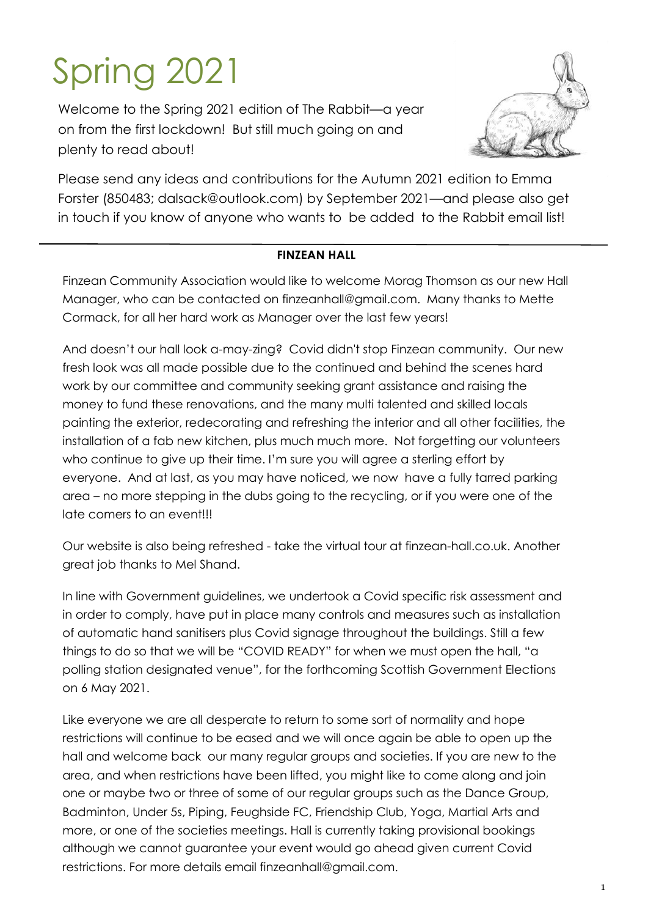# Spring 2021

Welcome to the Spring 2021 edition of The Rabbit—a year on from the first lockdown! But still much going on and plenty to read about!



Please send any ideas and contributions for the Autumn 2021 edition to Emma Forster (850483; dalsack@outlook.com) by September 2021—and please also get in touch if you know of anyone who wants to be added to the Rabbit email list!

#### **FINZEAN HALL**

Finzean Community Association would like to welcome Morag Thomson as our new Hall Manager, who can be contacted on finzeanhall@gmail.com. Many thanks to Mette Cormack, for all her hard work as Manager over the last few years!

And doesn't our hall look a-may-zing? Covid didn't stop Finzean community. Our new fresh look was all made possible due to the continued and behind the scenes hard work by our committee and community seeking grant assistance and raising the money to fund these renovations, and the many multi talented and skilled locals painting the exterior, redecorating and refreshing the interior and all other facilities, the installation of a fab new kitchen, plus much much more. Not forgetting our volunteers who continue to give up their time. I'm sure you will agree a sterling effort by everyone. And at last, as you may have noticed, we now have a fully tarred parking area – no more stepping in the dubs going to the recycling, or if you were one of the late comers to an event!!!

Our website is also being refreshed - take the virtual tour at finzean-hall.co.uk. Another great job thanks to Mel Shand.

In line with Government guidelines, we undertook a Covid specific risk assessment and in order to comply, have put in place many controls and measures such as installation of automatic hand sanitisers plus Covid signage throughout the buildings. Still a few things to do so that we will be "COVID READY" for when we must open the hall, "a polling station designated venue", for the forthcoming Scottish Government Elections on 6 May 2021.

Like everyone we are all desperate to return to some sort of normality and hope restrictions will continue to be eased and we will once again be able to open up the hall and welcome back our many regular groups and societies. If you are new to the area, and when restrictions have been lifted, you might like to come along and join one or maybe two or three of some of our regular groups such as the Dance Group, Badminton, Under 5s, Piping, Feughside FC, Friendship Club, Yoga, Martial Arts and more, or one of the societies meetings. Hall is currently taking provisional bookings although we cannot guarantee your event would go ahead given current Covid restrictions. For more details email finzeanhall@gmail.com.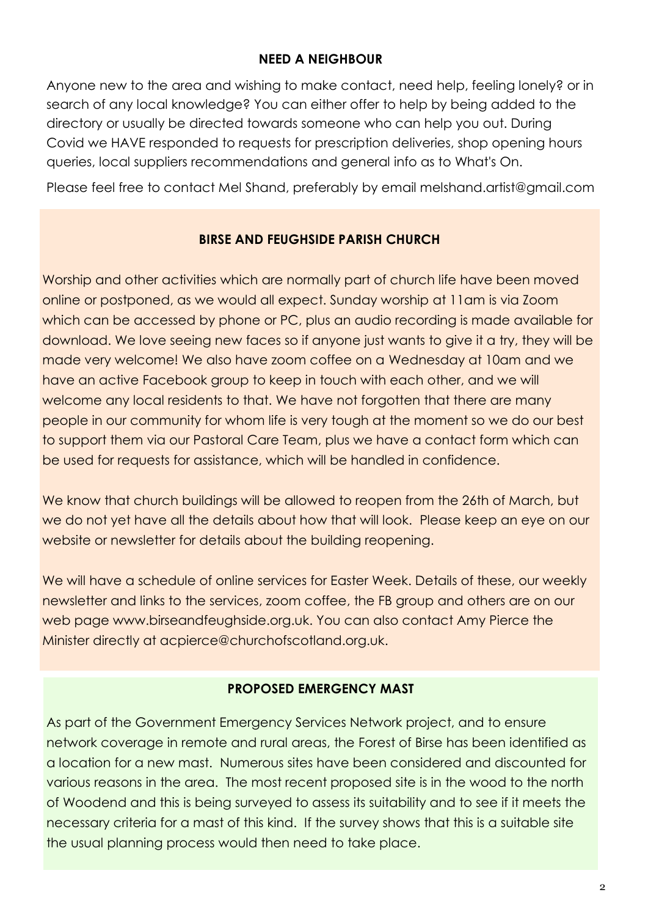#### **NEED A NEIGHBOUR**

Anyone new to the area and wishing to make contact, need help, feeling lonely? or in search of any local knowledge? You can either offer to help by being added to the directory or usually be directed towards someone who can help you out. During Covid we HAVE responded to requests for prescription deliveries, shop opening hours queries, local suppliers recommendations and general info as to What's On.

Please feel free to contact Mel Shand, preferably by email melshand.artist@gmail.com

# **BIRSE AND FEUGHSIDE PARISH CHURCH**

Worship and other activities which are normally part of church life have been moved online or postponed, as we would all expect. Sunday worship at 11am is via Zoom which can be accessed by phone or PC, plus an audio recording is made available for download. We love seeing new faces so if anyone just wants to give it a try, they will be made very welcome! We also have zoom coffee on a Wednesday at 10am and we have an active Facebook group to keep in touch with each other, and we will welcome any local residents to that. We have not forgotten that there are many people in our community for whom life is very tough at the moment so we do our best to support them via our Pastoral Care Team, plus we have a contact form which can be used for requests for assistance, which will be handled in confidence.

We know that church buildings will be allowed to reopen from the 26th of March, but we do not yet have all the details about how that will look. Please keep an eye on our website or newsletter for details about the building reopening.

We will have a schedule of online services for Easter Week. Details of these, our weekly newsletter and links to the services, zoom coffee, the FB group and others are on our web page www.birseandfeughside.org.uk. You can also contact Amy Pierce the Minister directly at acpierce@churchofscotland.org.uk.

#### **PROPOSED EMERGENCY MAST**

As part of the Government Emergency Services Network project, and to ensure network coverage in remote and rural areas, the Forest of Birse has been identified as a location for a new mast. Numerous sites have been considered and discounted for various reasons in the area. The most recent proposed site is in the wood to the north of Woodend and this is being surveyed to assess its suitability and to see if it meets the necessary criteria for a mast of this kind. If the survey shows that this is a suitable site the usual planning process would then need to take place.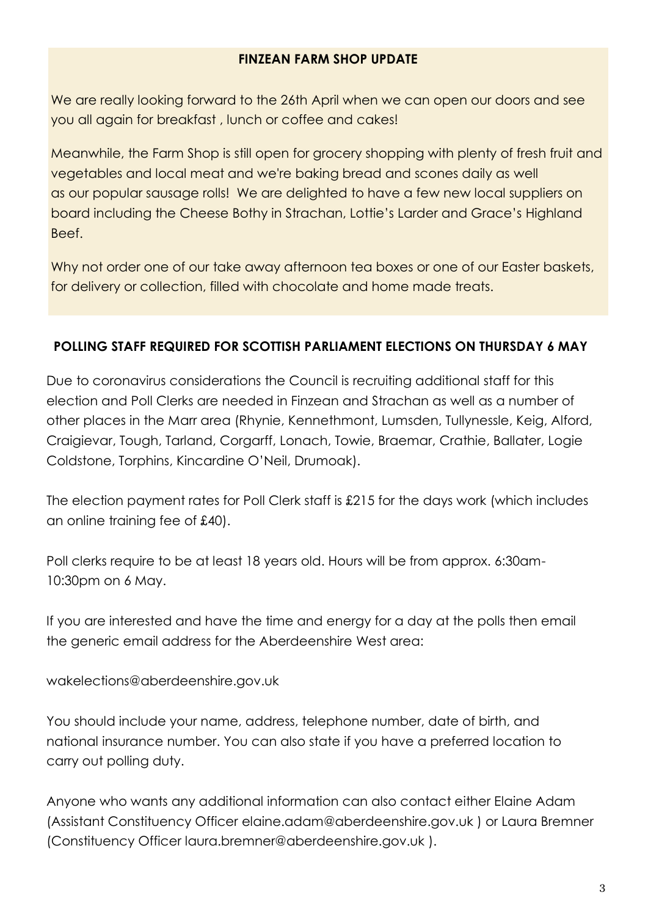#### **FINZEAN FARM SHOP UPDATE**

We are really looking forward to the 26th April when we can open our doors and see you all again for breakfast , lunch or coffee and cakes!

Meanwhile, the Farm Shop is still open for grocery shopping with plenty of fresh fruit and vegetables and local meat and we're baking bread and scones daily as well as our popular sausage rolls! We are delighted to have a few new local suppliers on board including the Cheese Bothy in Strachan, Lottie's Larder and Grace's Highland Beef.

Why not order one of our take away afternoon tea boxes or one of our Easter baskets, for delivery or collection, filled with chocolate and home made treats.

# **POLLING STAFF REQUIRED FOR SCOTTISH PARLIAMENT ELECTIONS ON THURSDAY 6 MAY**

Due to coronavirus considerations the Council is recruiting additional staff for this election and Poll Clerks are needed in Finzean and Strachan as well as a number of other places in the Marr area (Rhynie, Kennethmont, Lumsden, Tullynessle, Keig, Alford, Craigievar, Tough, Tarland, Corgarff, Lonach, Towie, Braemar, Crathie, Ballater, Logie Coldstone, Torphins, Kincardine O'Neil, Drumoak).

The election payment rates for Poll Clerk staff is £215 for the days work (which includes an online training fee of £40).

Poll clerks require to be at least 18 years old. Hours will be from approx. 6:30am-10:30pm on 6 May.

If you are interested and have the time and energy for a day at the polls then email the generic email address for the Aberdeenshire West area:

wakelections@aberdeenshire.gov.uk

You should include your name, address, telephone number, date of birth, and national insurance number. You can also state if you have a preferred location to carry out polling duty.

Anyone who wants any additional information can also contact either Elaine Adam (Assistant Constituency Officer elaine.adam@aberdeenshire.gov.uk ) or Laura Bremner (Constituency Officer laura.bremner@aberdeenshire.gov.uk ).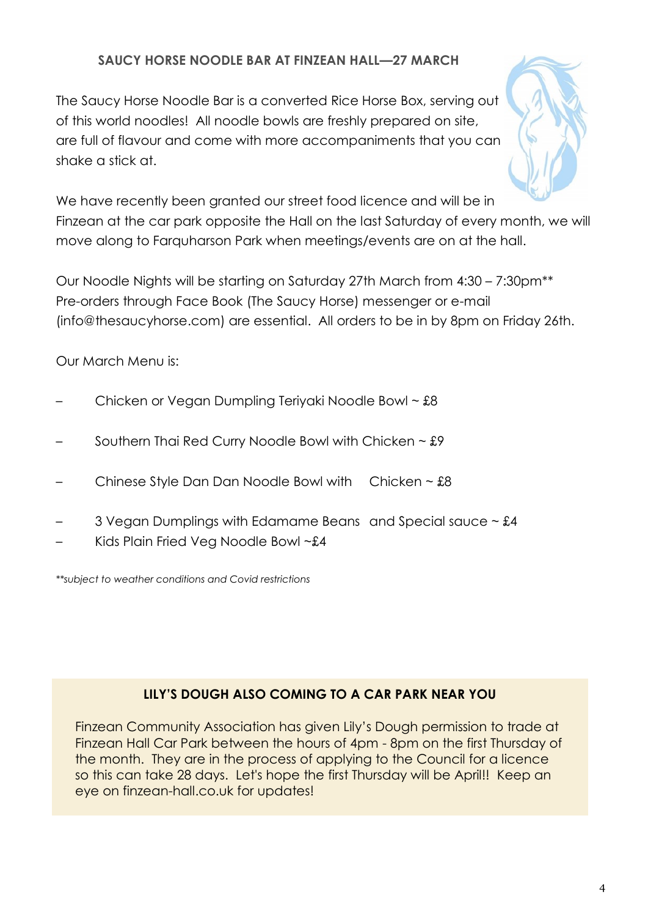# **SAUCY HORSE NOODLE BAR AT FINZEAN HALL—27 MARCH**

The Saucy Horse Noodle Bar is a converted Rice Horse Box, serving out of this world noodles! All noodle bowls are freshly prepared on site, are full of flavour and come with more accompaniments that you can shake a stick at.



We have recently been granted our street food licence and will be in Finzean at the car park opposite the Hall on the last Saturday of every month, we will move along to Farquharson Park when meetings/events are on at the hall.

Our Noodle Nights will be starting on Saturday 27th March from 4:30 – 7:30pm\*\* Pre-orders through Face Book (The Saucy Horse) messenger or e-mail (info@thesaucyhorse.com) are essential. All orders to be in by 8pm on Friday 26th.

Our March Menu is:

- Chicken or Vegan Dumpling Teriyaki Noodle Bowl ~ £8
- Southern Thai Red Curry Noodle Bowl with Chicken  $\sim$  £9
- Chinese Style Dan Dan Noodle Bowl with Chicken  $\sim$  £8
- 3 Vegan Dumplings with Edamame Beans and Special sauce  $\sim$  £4
- Kids Plain Fried Veg Noodle Bowl ~£4

*\*\*subject to weather conditions and Covid restrictions*

# **LILY'S DOUGH ALSO COMING TO A CAR PARK NEAR YOU**

Finzean Community Association has given Lily's Dough permission to trade at Finzean Hall Car Park between the hours of 4pm - 8pm on the first Thursday of the month. They are in the process of applying to the Council for a licence so this can take 28 days. Let's hope the first Thursday will be April!! Keep an eye on finzean-hall.co.uk for updates!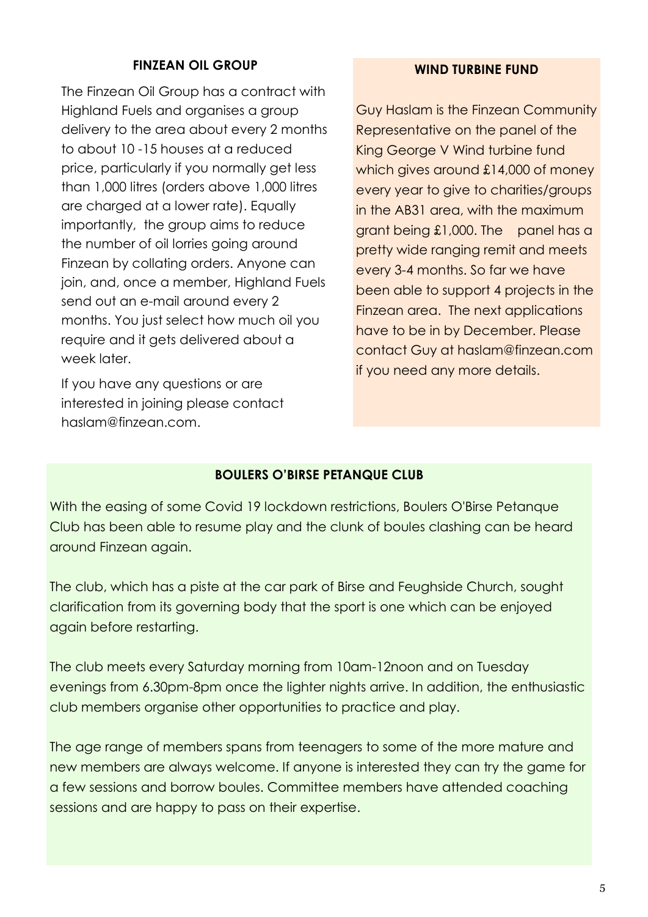#### **FINZEAN OIL GROUP**

The Finzean Oil Group has a contract with Highland Fuels and organises a group delivery to the area about every 2 months to about 10 -15 houses at a reduced price, particularly if you normally get less than 1,000 litres (orders above 1,000 litres are charged at a lower rate). Equally importantly, the group aims to reduce the number of oil lorries going around Finzean by collating orders. Anyone can join, and, once a member, Highland Fuels send out an e-mail around every 2 months. You just select how much oil you require and it gets delivered about a week later.

If you have any questions or are interested in joining please contact haslam@finzean.com.

#### **WIND TURBINE FUND**

Guy Haslam is the Finzean Community Representative on the panel of the King George V Wind turbine fund which gives around £14,000 of money every year to give to charities/groups in the AB31 area, with the maximum grant being £1,000. The panel has a pretty wide ranging remit and meets every 3-4 months. So far we have been able to support 4 projects in the Finzean area. The next applications have to be in by December. Please contact Guy at haslam@finzean.com if you need any more details.

#### **BOULERS O'BIRSE PETANQUE CLUB**

With the easing of some Covid 19 lockdown restrictions, Boulers O'Birse Petanque Club has been able to resume play and the clunk of boules clashing can be heard around Finzean again.

The club, which has a piste at the car park of Birse and Feughside Church, sought clarification from its governing body that the sport is one which can be enjoyed again before restarting.

The club meets every Saturday morning from 10am-12noon and on Tuesday evenings from 6.30pm-8pm once the lighter nights arrive. In addition, the enthusiastic club members organise other opportunities to practice and play.

The age range of members spans from teenagers to some of the more mature and new members are always welcome. If anyone is interested they can try the game for a few sessions and borrow boules. Committee members have attended coaching sessions and are happy to pass on their expertise.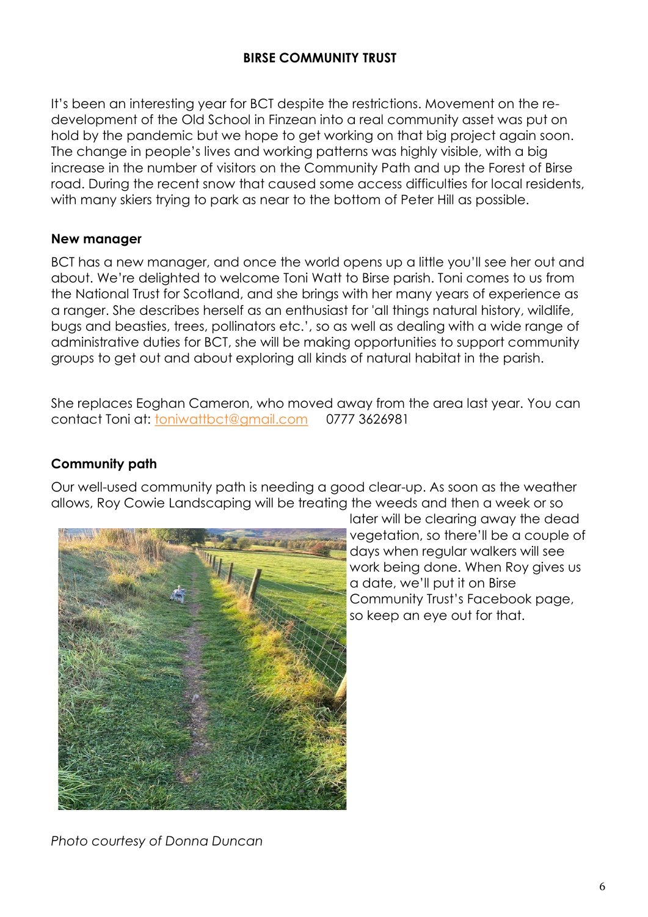#### **BIRSE COMMUNITY TRUST**

It's been an interesting year for BCT despite the restrictions. Movement on the redevelopment of the Old School in Finzean into a real community asset was put on hold by the pandemic but we hope to get working on that big project again soon. The change in people's lives and working patterns was highly visible, with a big increase in the number of visitors on the Community Path and up the Forest of Birse road. During the recent snow that caused some access difficulties for local residents, with many skiers trying to park as near to the bottom of Peter Hill as possible.

#### **New manager**

BCT has a new manager, and once the world opens up a little you'll see her out and about. We're delighted to welcome Toni Watt to Birse parish. Toni comes to us from the National Trust for Scotland, and she brings with her many years of experience as a ranger. She describes herself as an enthusiast for 'all things natural history, wildlife, bugs and beasties, trees, pollinators etc.', so as well as dealing with a wide range of administrative duties for BCT, she will be making opportunities to support community groups to get out and about exploring all kinds of natural habitat in the parish.

She replaces Eoghan Cameron, who moved away from the area last year. You can contact Toni at: [toniwattbct@gmail.com](mailto:toniwattbct@gmail.com) 0777 3626981

#### **Community path**

Our well-used community path is needing a good clear-up. As soon as the weather allows, Roy Cowie Landscaping will be treating the weeds and then a week or so



later will be clearing away the dead vegetation, so there'll be a couple of days when regular walkers will see work being done. When Roy gives us a date, we'll put it on Birse Community Trust's Facebook page, so keep an eye out for that.

*Photo courtesy of Donna Duncan*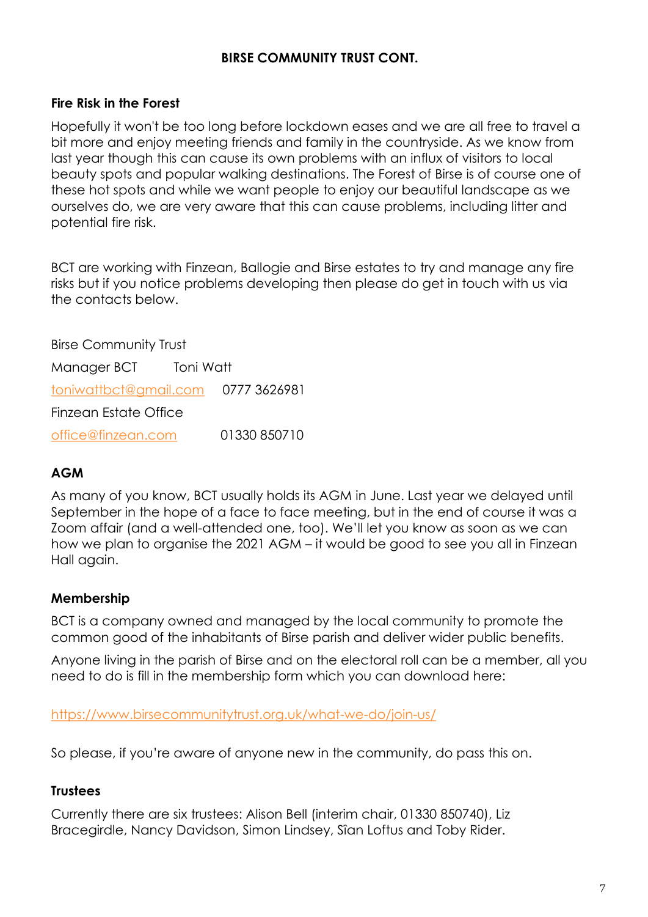#### **BIRSE COMMUNITY TRUST CONT.**

#### **Fire Risk in the Forest**

Hopefully it won't be too long before lockdown eases and we are all free to travel a bit more and enjoy meeting friends and family in the countryside. As we know from last year though this can cause its own problems with an influx of visitors to local beauty spots and popular walking destinations. The Forest of Birse is of course one of these hot spots and while we want people to enjoy our beautiful landscape as we ourselves do, we are very aware that this can cause problems, including litter and potential fire risk.

BCT are working with Finzean, Ballogie and Birse estates to try and manage any fire risks but if you notice problems developing then please do get in touch with us via the contacts below.

Birse Community Trust Manager BCT Toni Watt [toniwattbct@gmail.com](mailto:toniwattbct@gmail.com) 0777 3626981 Finzean Estate Office [office@finzean.com](mailto:office@finzean.com) 01330 850710

#### **AGM**

As many of you know, BCT usually holds its AGM in June. Last year we delayed until September in the hope of a face to face meeting, but in the end of course it was a Zoom affair (and a well-attended one, too). We'll let you know as soon as we can how we plan to organise the 2021 AGM – it would be good to see you all in Finzean Hall again.

#### **Membership**

BCT is a company owned and managed by the local community to promote the common good of the inhabitants of Birse parish and deliver wider public benefits.

Anyone living in the parish of Birse and on the electoral roll can be a member, all you need to do is fill in the membership form which you can download here:

<https://www.birsecommunitytrust.org.uk/what-we-do/join-us/>

So please, if you're aware of anyone new in the community, do pass this on.

#### **Trustees**

Currently there are six trustees: Alison Bell (interim chair, 01330 850740), Liz Bracegirdle, Nancy Davidson, Simon Lindsey, Sîan Loftus and Toby Rider.